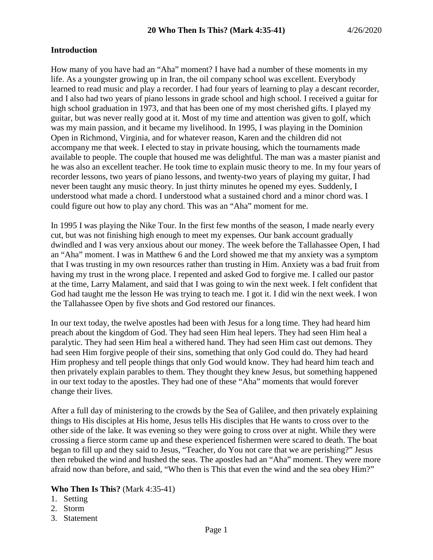### **Introduction**

How many of you have had an "Aha" moment? I have had a number of these moments in my life. As a youngster growing up in Iran, the oil company school was excellent. Everybody learned to read music and play a recorder. I had four years of learning to play a descant recorder, and I also had two years of piano lessons in grade school and high school. I received a guitar for high school graduation in 1973, and that has been one of my most cherished gifts. I played my guitar, but was never really good at it. Most of my time and attention was given to golf, which was my main passion, and it became my livelihood. In 1995, I was playing in the Dominion Open in Richmond, Virginia, and for whatever reason, Karen and the children did not accompany me that week. I elected to stay in private housing, which the tournaments made available to people. The couple that housed me was delightful. The man was a master pianist and he was also an excellent teacher. He took time to explain music theory to me. In my four years of recorder lessons, two years of piano lessons, and twenty-two years of playing my guitar, I had never been taught any music theory. In just thirty minutes he opened my eyes. Suddenly, I understood what made a chord. I understood what a sustained chord and a minor chord was. I could figure out how to play any chord. This was an "Aha" moment for me.

In 1995 I was playing the Nike Tour. In the first few months of the season, I made nearly every cut, but was not finishing high enough to meet my expenses. Our bank account gradually dwindled and I was very anxious about our money. The week before the Tallahassee Open, I had an "Aha" moment. I was in Matthew 6 and the Lord showed me that my anxiety was a symptom that I was trusting in my own resources rather than trusting in Him. Anxiety was a bad fruit from having my trust in the wrong place. I repented and asked God to forgive me. I called our pastor at the time, Larry Malament, and said that I was going to win the next week. I felt confident that God had taught me the lesson He was trying to teach me. I got it. I did win the next week. I won the Tallahassee Open by five shots and God restored our finances.

In our text today, the twelve apostles had been with Jesus for a long time. They had heard him preach about the kingdom of God. They had seen Him heal lepers. They had seen Him heal a paralytic. They had seen Him heal a withered hand. They had seen Him cast out demons. They had seen Him forgive people of their sins, something that only God could do. They had heard Him prophesy and tell people things that only God would know. They had heard him teach and then privately explain parables to them. They thought they knew Jesus, but something happened in our text today to the apostles. They had one of these "Aha" moments that would forever change their lives.

After a full day of ministering to the crowds by the Sea of Galilee, and then privately explaining things to His disciples at His home, Jesus tells His disciples that He wants to cross over to the other side of the lake. It was evening so they were going to cross over at night. While they were crossing a fierce storm came up and these experienced fishermen were scared to death. The boat began to fill up and they said to Jesus, "Teacher, do You not care that we are perishing?" Jesus then rebuked the wind and hushed the seas. The apostles had an "Aha" moment. They were more afraid now than before, and said, "Who then is This that even the wind and the sea obey Him?"

#### **Who Then Is This?** (Mark 4:35-41)

- 1. Setting
- 2. Storm
- 3. Statement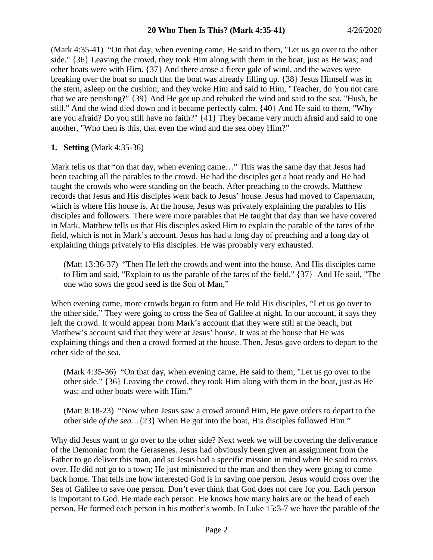(Mark 4:35-41) "On that day, when evening came, He said to them, "Let us go over to the other side." {36} Leaving the crowd, they took Him along with them in the boat, just as He was; and other boats were with Him. {37} And there arose a fierce gale of wind, and the waves were breaking over the boat so much that the boat was already filling up. {38} Jesus Himself was in the stern, asleep on the cushion; and they woke Him and said to Him, "Teacher, do You not care that we are perishing?" {39} And He got up and rebuked the wind and said to the sea, "Hush, be still." And the wind died down and it became perfectly calm. {40} And He said to them, "Why are you afraid? Do you still have no faith?" {41} They became very much afraid and said to one another, "Who then is this, that even the wind and the sea obey Him?"

### **1. Setting** (Mark 4:35-36)

Mark tells us that "on that day, when evening came…" This was the same day that Jesus had been teaching all the parables to the crowd. He had the disciples get a boat ready and He had taught the crowds who were standing on the beach. After preaching to the crowds, Matthew records that Jesus and His disciples went back to Jesus' house. Jesus had moved to Capernaum, which is where His house is. At the house, Jesus was privately explaining the parables to His disciples and followers. There were more parables that He taught that day than we have covered in Mark. Matthew tells us that His disciples asked Him to explain the parable of the tares of the field, which is not in Mark's account. Jesus has had a long day of preaching and a long day of explaining things privately to His disciples. He was probably very exhausted.

(Matt 13:36-37) "Then He left the crowds and went into the house. And His disciples came to Him and said, "Explain to us the parable of the tares of the field." {37} And He said, "The one who sows the good seed is the Son of Man,"

When evening came, more crowds began to form and He told His disciples, "Let us go over to the other side." They were going to cross the Sea of Galilee at night. In our account, it says they left the crowd. It would appear from Mark's account that they were still at the beach, but Matthew's account said that they were at Jesus' house. It was at the house that He was explaining things and then a crowd formed at the house. Then, Jesus gave orders to depart to the other side of the sea.

(Mark 4:35-36) "On that day, when evening came, He said to them, "Let us go over to the other side." {36} Leaving the crowd, they took Him along with them in the boat, just as He was; and other boats were with Him."

(Matt 8:18-23) "Now when Jesus saw a crowd around Him, He gave orders to depart to the other side *of the sea…*{23} When He got into the boat, His disciples followed Him."

Why did Jesus want to go over to the other side? Next week we will be covering the deliverance of the Demoniac from the Gerasenes. Jesus had obviously been given an assignment from the Father to go deliver this man, and so Jesus had a specific mission in mind when He said to cross over. He did not go to a town; He just ministered to the man and then they were going to come back home. That tells me how interested God is in saving one person. Jesus would cross over the Sea of Galilee to save one person. Don't ever think that God does not care for you. Each person is important to God. He made each person. He knows how many hairs are on the head of each person. He formed each person in his mother's womb. In Luke 15:3-7 we have the parable of the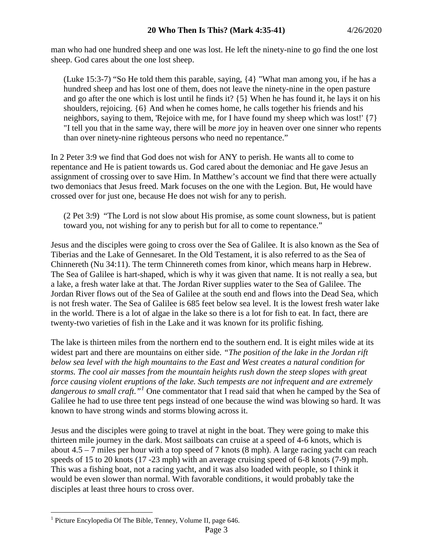man who had one hundred sheep and one was lost. He left the ninety-nine to go find the one lost sheep. God cares about the one lost sheep.

(Luke 15:3-7) "So He told them this parable, saying, {4} "What man among you, if he has a hundred sheep and has lost one of them, does not leave the ninety-nine in the open pasture and go after the one which is lost until he finds it? {5} When he has found it, he lays it on his shoulders, rejoicing. {6} And when he comes home, he calls together his friends and his neighbors, saying to them, 'Rejoice with me, for I have found my sheep which was lost!'  $\{7\}$ "I tell you that in the same way, there will be *more* joy in heaven over one sinner who repents than over ninety-nine righteous persons who need no repentance."

In 2 Peter 3:9 we find that God does not wish for ANY to perish. He wants all to come to repentance and He is patient towards us. God cared about the demoniac and He gave Jesus an assignment of crossing over to save Him. In Matthew's account we find that there were actually two demoniacs that Jesus freed. Mark focuses on the one with the Legion. But, He would have crossed over for just one, because He does not wish for any to perish.

(2 Pet 3:9) "The Lord is not slow about His promise, as some count slowness, but is patient toward you, not wishing for any to perish but for all to come to repentance."

Jesus and the disciples were going to cross over the Sea of Galilee. It is also known as the Sea of Tiberias and the Lake of Gennesaret. In the Old Testament, it is also referred to as the Sea of Chinnereth (Nu 34:11). The term Chinnereth comes from kinor, which means harp in Hebrew. The Sea of Galilee is hart-shaped, which is why it was given that name. It is not really a sea, but a lake, a fresh water lake at that. The Jordan River supplies water to the Sea of Galilee. The Jordan River flows out of the Sea of Galilee at the south end and flows into the Dead Sea, which is not fresh water. The Sea of Galilee is 685 feet below sea level. It is the lowest fresh water lake in the world. There is a lot of algae in the lake so there is a lot for fish to eat. In fact, there are twenty-two varieties of fish in the Lake and it was known for its prolific fishing.

The lake is thirteen miles from the northern end to the southern end. It is eight miles wide at its widest part and there are mountains on either side. *"The position of the lake in the Jordan rift below sea level with the high mountains to the East and West creates a natural condition for storms. The cool air masses from the mountain heights rush down the steep slopes with great force causing violent eruptions of the lake. Such tempests are not infrequent and are extremely dangerous to small craft."[1](#page-2-0)* One commentator that I read said that when he camped by the Sea of Galilee he had to use three tent pegs instead of one because the wind was blowing so hard. It was known to have strong winds and storms blowing across it.

Jesus and the disciples were going to travel at night in the boat. They were going to make this thirteen mile journey in the dark. Most sailboats can cruise at a speed of 4-6 knots, which is about 4.5 – 7 miles per hour with a top speed of 7 knots (8 mph). A large racing yacht can reach speeds of 15 to 20 knots (17 -23 mph) with an average cruising speed of 6-8 knots (7-9) mph. This was a fishing boat, not a racing yacht, and it was also loaded with people, so I think it would be even slower than normal. With favorable conditions, it would probably take the disciples at least three hours to cross over.

<span id="page-2-0"></span> <sup>1</sup> Picture Encylopedia Of The Bible, Tenney, Volume II, page 646.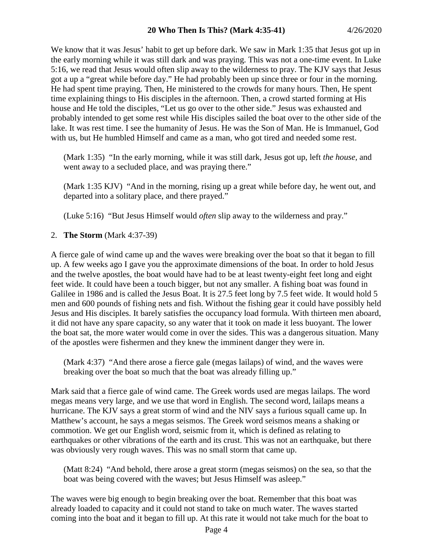We know that it was Jesus' habit to get up before dark. We saw in Mark 1:35 that Jesus got up in the early morning while it was still dark and was praying. This was not a one-time event. In Luke 5:16, we read that Jesus would often slip away to the wilderness to pray. The KJV says that Jesus got a up a "great while before day." He had probably been up since three or four in the morning. He had spent time praying. Then, He ministered to the crowds for many hours. Then, He spent time explaining things to His disciples in the afternoon. Then, a crowd started forming at His house and He told the disciples, "Let us go over to the other side." Jesus was exhausted and probably intended to get some rest while His disciples sailed the boat over to the other side of the lake. It was rest time. I see the humanity of Jesus. He was the Son of Man. He is Immanuel, God with us, but He humbled Himself and came as a man, who got tired and needed some rest.

(Mark 1:35) "In the early morning, while it was still dark, Jesus got up, left *the house,* and went away to a secluded place, and was praying there."

(Mark 1:35 KJV) "And in the morning, rising up a great while before day, he went out, and departed into a solitary place, and there prayed."

(Luke 5:16) "But Jesus Himself would *often* slip away to the wilderness and pray."

2. **The Storm** (Mark 4:37-39)

A fierce gale of wind came up and the waves were breaking over the boat so that it began to fill up. A few weeks ago I gave you the approximate dimensions of the boat. In order to hold Jesus and the twelve apostles, the boat would have had to be at least twenty-eight feet long and eight feet wide. It could have been a touch bigger, but not any smaller. A fishing boat was found in Galilee in 1986 and is called the Jesus Boat. It is 27.5 feet long by 7.5 feet wide. It would hold 5 men and 600 pounds of fishing nets and fish. Without the fishing gear it could have possibly held Jesus and His disciples. It barely satisfies the occupancy load formula. With thirteen men aboard, it did not have any spare capacity, so any water that it took on made it less buoyant. The lower the boat sat, the more water would come in over the sides. This was a dangerous situation. Many of the apostles were fishermen and they knew the imminent danger they were in.

(Mark 4:37) "And there arose a fierce gale (megas lailaps) of wind, and the waves were breaking over the boat so much that the boat was already filling up."

Mark said that a fierce gale of wind came. The Greek words used are megas lailaps. The word megas means very large, and we use that word in English. The second word, lailaps means a hurricane. The KJV says a great storm of wind and the NIV says a furious squall came up. In Matthew's account, he says a megas seismos. The Greek word seismos means a shaking or commotion. We get our English word, seismic from it, which is defined as relating to earthquakes or other vibrations of the earth and its crust. This was not an earthquake, but there was obviously very rough waves. This was no small storm that came up.

(Matt 8:24) "And behold, there arose a great storm (megas seismos) on the sea, so that the boat was being covered with the waves; but Jesus Himself was asleep."

The waves were big enough to begin breaking over the boat. Remember that this boat was already loaded to capacity and it could not stand to take on much water. The waves started coming into the boat and it began to fill up. At this rate it would not take much for the boat to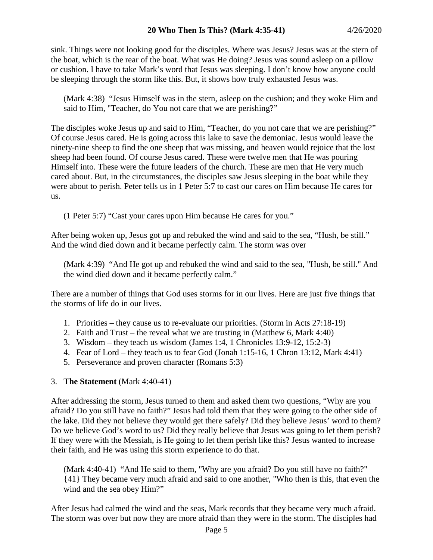sink. Things were not looking good for the disciples. Where was Jesus? Jesus was at the stern of the boat, which is the rear of the boat. What was He doing? Jesus was sound asleep on a pillow or cushion. I have to take Mark's word that Jesus was sleeping. I don't know how anyone could be sleeping through the storm like this. But, it shows how truly exhausted Jesus was.

(Mark 4:38) "Jesus Himself was in the stern, asleep on the cushion; and they woke Him and said to Him, "Teacher, do You not care that we are perishing?"

The disciples woke Jesus up and said to Him, "Teacher, do you not care that we are perishing?" Of course Jesus cared. He is going across this lake to save the demoniac. Jesus would leave the ninety-nine sheep to find the one sheep that was missing, and heaven would rejoice that the lost sheep had been found. Of course Jesus cared. These were twelve men that He was pouring Himself into. These were the future leaders of the church. These are men that He very much cared about. But, in the circumstances, the disciples saw Jesus sleeping in the boat while they were about to perish. Peter tells us in 1 Peter 5:7 to cast our cares on Him because He cares for us.

(1 Peter 5:7) "Cast your cares upon Him because He cares for you."

After being woken up, Jesus got up and rebuked the wind and said to the sea, "Hush, be still." And the wind died down and it became perfectly calm. The storm was over

(Mark 4:39) "And He got up and rebuked the wind and said to the sea, "Hush, be still." And the wind died down and it became perfectly calm."

There are a number of things that God uses storms for in our lives. Here are just five things that the storms of life do in our lives.

- 1. Priorities they cause us to re-evaluate our priorities. (Storm in Acts 27:18-19)
- 2. Faith and Trust the reveal what we are trusting in (Matthew 6, Mark 4:40)
- 3. Wisdom they teach us wisdom (James 1:4, 1 Chronicles 13:9-12, 15:2-3)
- 4. Fear of Lord they teach us to fear God (Jonah 1:15-16, 1 Chron 13:12, Mark 4:41)
- 5. Perseverance and proven character (Romans 5:3)

# 3. **The Statement** (Mark 4:40-41)

After addressing the storm, Jesus turned to them and asked them two questions, "Why are you afraid? Do you still have no faith?" Jesus had told them that they were going to the other side of the lake. Did they not believe they would get there safely? Did they believe Jesus' word to them? Do we believe God's word to us? Did they really believe that Jesus was going to let them perish? If they were with the Messiah, is He going to let them perish like this? Jesus wanted to increase their faith, and He was using this storm experience to do that.

(Mark 4:40-41) "And He said to them, "Why are you afraid? Do you still have no faith?" {41} They became very much afraid and said to one another, "Who then is this, that even the wind and the sea obey Him?"

After Jesus had calmed the wind and the seas, Mark records that they became very much afraid. The storm was over but now they are more afraid than they were in the storm. The disciples had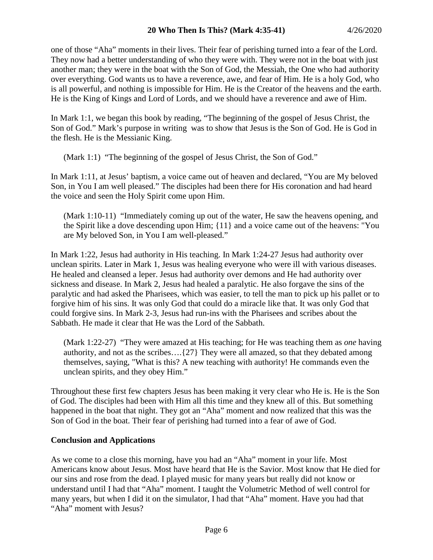one of those "Aha" moments in their lives. Their fear of perishing turned into a fear of the Lord. They now had a better understanding of who they were with. They were not in the boat with just another man; they were in the boat with the Son of God, the Messiah, the One who had authority over everything. God wants us to have a reverence, awe, and fear of Him. He is a holy God, who is all powerful, and nothing is impossible for Him. He is the Creator of the heavens and the earth. He is the King of Kings and Lord of Lords, and we should have a reverence and awe of Him.

In Mark 1:1, we began this book by reading, "The beginning of the gospel of Jesus Christ, the Son of God." Mark's purpose in writing was to show that Jesus is the Son of God. He is God in the flesh. He is the Messianic King.

(Mark 1:1) "The beginning of the gospel of Jesus Christ, the Son of God."

In Mark 1:11, at Jesus' baptism, a voice came out of heaven and declared, "You are My beloved Son, in You I am well pleased." The disciples had been there for His coronation and had heard the voice and seen the Holy Spirit come upon Him.

(Mark 1:10-11) "Immediately coming up out of the water, He saw the heavens opening, and the Spirit like a dove descending upon Him; {11} and a voice came out of the heavens: "You are My beloved Son, in You I am well-pleased."

In Mark 1:22, Jesus had authority in His teaching. In Mark 1:24-27 Jesus had authority over unclean spirits. Later in Mark 1, Jesus was healing everyone who were ill with various diseases. He healed and cleansed a leper. Jesus had authority over demons and He had authority over sickness and disease. In Mark 2, Jesus had healed a paralytic. He also forgave the sins of the paralytic and had asked the Pharisees, which was easier, to tell the man to pick up his pallet or to forgive him of his sins. It was only God that could do a miracle like that. It was only God that could forgive sins. In Mark 2-3, Jesus had run-ins with the Pharisees and scribes about the Sabbath. He made it clear that He was the Lord of the Sabbath.

(Mark 1:22-27) "They were amazed at His teaching; for He was teaching them as *one* having authority, and not as the scribes….{27} They were all amazed, so that they debated among themselves, saying, "What is this? A new teaching with authority! He commands even the unclean spirits, and they obey Him."

Throughout these first few chapters Jesus has been making it very clear who He is. He is the Son of God. The disciples had been with Him all this time and they knew all of this. But something happened in the boat that night. They got an "Aha" moment and now realized that this was the Son of God in the boat. Their fear of perishing had turned into a fear of awe of God.

# **Conclusion and Applications**

As we come to a close this morning, have you had an "Aha" moment in your life. Most Americans know about Jesus. Most have heard that He is the Savior. Most know that He died for our sins and rose from the dead. I played music for many years but really did not know or understand until I had that "Aha" moment. I taught the Volumetric Method of well control for many years, but when I did it on the simulator, I had that "Aha" moment. Have you had that "Aha" moment with Jesus?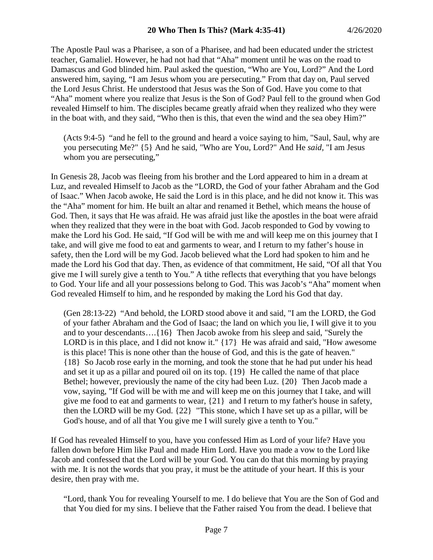The Apostle Paul was a Pharisee, a son of a Pharisee, and had been educated under the strictest teacher, Gamaliel. However, he had not had that "Aha" moment until he was on the road to Damascus and God blinded him. Paul asked the question, "Who are You, Lord?" And the Lord answered him, saying, "I am Jesus whom you are persecuting." From that day on, Paul served the Lord Jesus Christ. He understood that Jesus was the Son of God. Have you come to that "Aha" moment where you realize that Jesus is the Son of God? Paul fell to the ground when God revealed Himself to him. The disciples became greatly afraid when they realized who they were in the boat with, and they said, "Who then is this, that even the wind and the sea obey Him?"

(Acts 9:4-5) "and he fell to the ground and heard a voice saying to him, "Saul, Saul, why are you persecuting Me?" {5} And he said, "Who are You, Lord?" And He *said,* "I am Jesus whom you are persecuting,"

In Genesis 28, Jacob was fleeing from his brother and the Lord appeared to him in a dream at Luz, and revealed Himself to Jacob as the "LORD, the God of your father Abraham and the God of Isaac." When Jacob awoke, He said the Lord is in this place, and he did not know it. This was the "Aha" moment for him. He built an altar and renamed it Bethel, which means the house of God. Then, it says that He was afraid. He was afraid just like the apostles in the boat were afraid when they realized that they were in the boat with God. Jacob responded to God by vowing to make the Lord his God. He said, "If God will be with me and will keep me on this journey that I take, and will give me food to eat and garments to wear, and I return to my father's house in safety, then the Lord will be my God. Jacob believed what the Lord had spoken to him and he made the Lord his God that day. Then, as evidence of that commitment, He said, "Of all that You give me I will surely give a tenth to You." A tithe reflects that everything that you have belongs to God. Your life and all your possessions belong to God. This was Jacob's "Aha" moment when God revealed Himself to him, and he responded by making the Lord his God that day.

(Gen 28:13-22) "And behold, the LORD stood above it and said, "I am the LORD, the God of your father Abraham and the God of Isaac; the land on which you lie, I will give it to you and to your descendants….{16} Then Jacob awoke from his sleep and said, "Surely the LORD is in this place, and I did not know it." {17} He was afraid and said, "How awesome is this place! This is none other than the house of God, and this is the gate of heaven." {18} So Jacob rose early in the morning, and took the stone that he had put under his head and set it up as a pillar and poured oil on its top. {19} He called the name of that place Bethel; however, previously the name of the city had been Luz. {20} Then Jacob made a vow, saying, "If God will be with me and will keep me on this journey that I take, and will give me food to eat and garments to wear, {21} and I return to my father's house in safety, then the LORD will be my God. {22} "This stone, which I have set up as a pillar, will be God's house, and of all that You give me I will surely give a tenth to You."

If God has revealed Himself to you, have you confessed Him as Lord of your life? Have you fallen down before Him like Paul and made Him Lord. Have you made a vow to the Lord like Jacob and confessed that the Lord will be your God. You can do that this morning by praying with me. It is not the words that you pray, it must be the attitude of your heart. If this is your desire, then pray with me.

"Lord, thank You for revealing Yourself to me. I do believe that You are the Son of God and that You died for my sins. I believe that the Father raised You from the dead. I believe that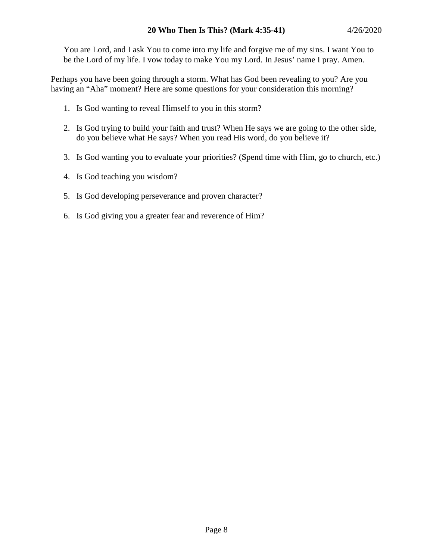You are Lord, and I ask You to come into my life and forgive me of my sins. I want You to be the Lord of my life. I vow today to make You my Lord. In Jesus' name I pray. Amen.

Perhaps you have been going through a storm. What has God been revealing to you? Are you having an "Aha" moment? Here are some questions for your consideration this morning?

- 1. Is God wanting to reveal Himself to you in this storm?
- 2. Is God trying to build your faith and trust? When He says we are going to the other side, do you believe what He says? When you read His word, do you believe it?
- 3. Is God wanting you to evaluate your priorities? (Spend time with Him, go to church, etc.)
- 4. Is God teaching you wisdom?
- 5. Is God developing perseverance and proven character?
- 6. Is God giving you a greater fear and reverence of Him?